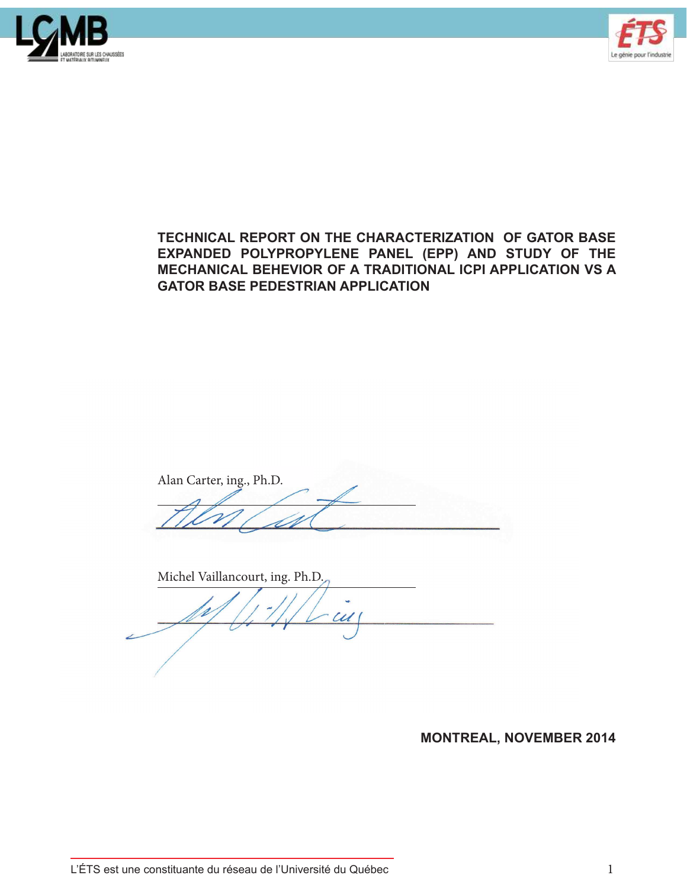



# **TECHNICAL REPORT ON THE CHARACTERIZATION OF GATOR BASE EXPANDED POLYPROPYLENE PANEL (EPP) AND STUDY OF THE MECHANICAL BEHEVIOR OF A TRADITIONAL ICPI APPLICATION VS A GATOR BASE PEDESTRIAN APPLICATION**

Alan Carter, ing., Ph.D.

Michel Vaillancourt, ing. Ph.D.

**MONTREAL, NOVEMBER 2014**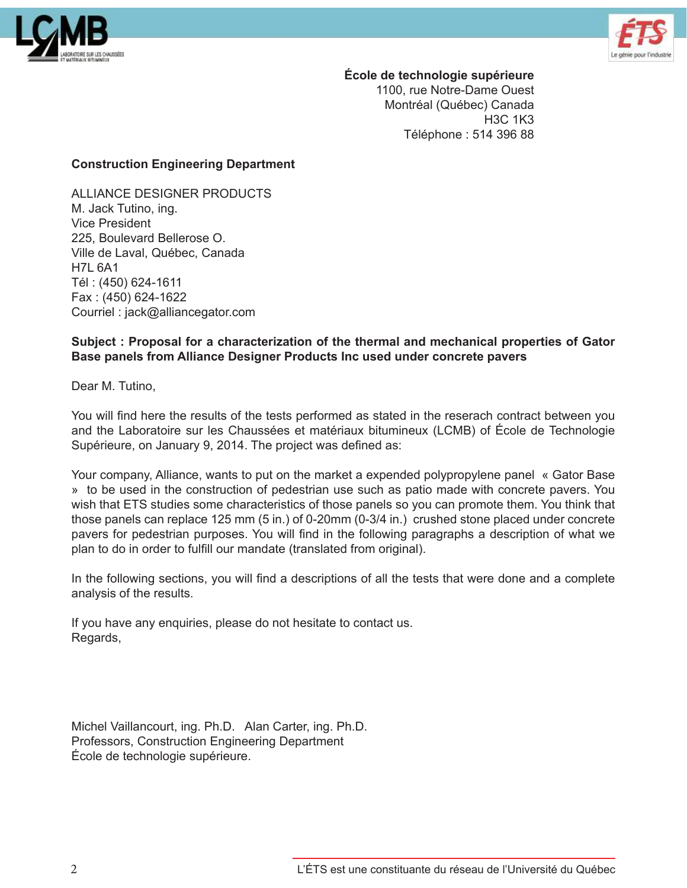



**École de technologie supérieure**

1100, rue Notre-Dame Ouest Montréal (Québec) Canada H3C 1K3 Téléphone : 514 396 88

#### **Construction Engineering Department**

ALLIANCE DESIGNER PRODUCTS M. Jack Tutino, ing. Vice President 225, Boulevard Bellerose O. Ville de Laval, Québec, Canada H7L 6A1 Tél : (450) 624-1611 Fax : (450) 624-1622 Courriel : jack@alliancegator.com

### **Subject : Proposal for a characterization of the thermal and mechanical properties of Gator Base panels from Alliance Designer Products Inc used under concrete pavers**

Dear M. Tutino,

You will find here the results of the tests performed as stated in the reserach contract between you and the Laboratoire sur les Chaussées et matériaux bitumineux (LCMB) of École de Technologie Supérieure, on January 9, 2014. The project was defined as:

Your company, Alliance, wants to put on the market a expended polypropylene panel « Gator Base » to be used in the construction of pedestrian use such as patio made with concrete pavers. You wish that ETS studies some characteristics of those panels so you can promote them. You think that those panels can replace 125 mm (5 in.) of 0-20mm (0-3/4 in.) crushed stone placed under concrete pavers for pedestrian purposes. You will find in the following paragraphs a description of what we plan to do in order to fulfill our mandate (translated from original).

In the following sections, you will find a descriptions of all the tests that were done and a complete analysis of the results.

If you have any enquiries, please do not hesitate to contact us. Regards,

Michel Vaillancourt, ing. Ph.D. Alan Carter, ing. Ph.D. Professors, Construction Engineering Department École de technologie supérieure.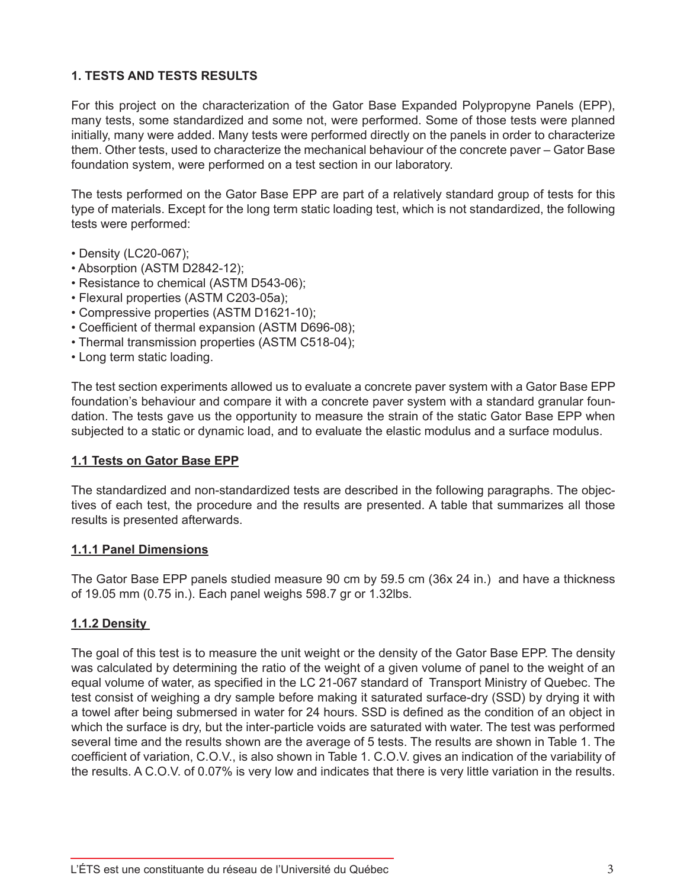# **1. TESTS AND TESTS RESULTS**

For this project on the characterization of the Gator Base Expanded Polypropyne Panels (EPP), many tests, some standardized and some not, were performed. Some of those tests were planned initially, many were added. Many tests were performed directly on the panels in order to characterize them. Other tests, used to characterize the mechanical behaviour of the concrete paver – Gator Base foundation system, were performed on a test section in our laboratory.

The tests performed on the Gator Base EPP are part of a relatively standard group of tests for this type of materials. Except for the long term static loading test, which is not standardized, the following tests were performed:

- Density (LC20-067);
- Absorption (ASTM D2842-12);
- Resistance to chemical (ASTM D543-06);
- Flexural properties (ASTM C203-05a);
- Compressive properties (ASTM D1621-10);
- Coefficient of thermal expansion (ASTM D696-08);
- Thermal transmission properties (ASTM C518-04);
- Long term static loading.

The test section experiments allowed us to evaluate a concrete paver system with a Gator Base EPP foundation's behaviour and compare it with a concrete paver system with a standard granular foundation. The tests gave us the opportunity to measure the strain of the static Gator Base EPP when subjected to a static or dynamic load, and to evaluate the elastic modulus and a surface modulus.

#### **1.1 Tests on Gator Base EPP**

The standardized and non-standardized tests are described in the following paragraphs. The objectives of each test, the procedure and the results are presented. A table that summarizes all those results is presented afterwards.

#### **1.1.1 Panel Dimensions**

The Gator Base EPP panels studied measure 90 cm by 59.5 cm (36x 24 in.) and have a thickness of 19.05 mm (0.75 in.). Each panel weighs 598.7 gr or 1.32lbs.

#### **1.1.2 Density**

The goal of this test is to measure the unit weight or the density of the Gator Base EPP. The density was calculated by determining the ratio of the weight of a given volume of panel to the weight of an equal volume of water, as specified in the LC 21-067 standard of Transport Ministry of Quebec. The test consist of weighing a dry sample before making it saturated surface-dry (SSD) by drying it with a towel after being submersed in water for 24 hours. SSD is defined as the condition of an object in which the surface is dry, but the inter-particle voids are saturated with water. The test was performed several time and the results shown are the average of 5 tests. The results are shown in Table 1. The coefficient of variation, C.O.V., is also shown in Table 1. C.O.V. gives an indication of the variability of the results. A C.O.V. of 0.07% is very low and indicates that there is very little variation in the results.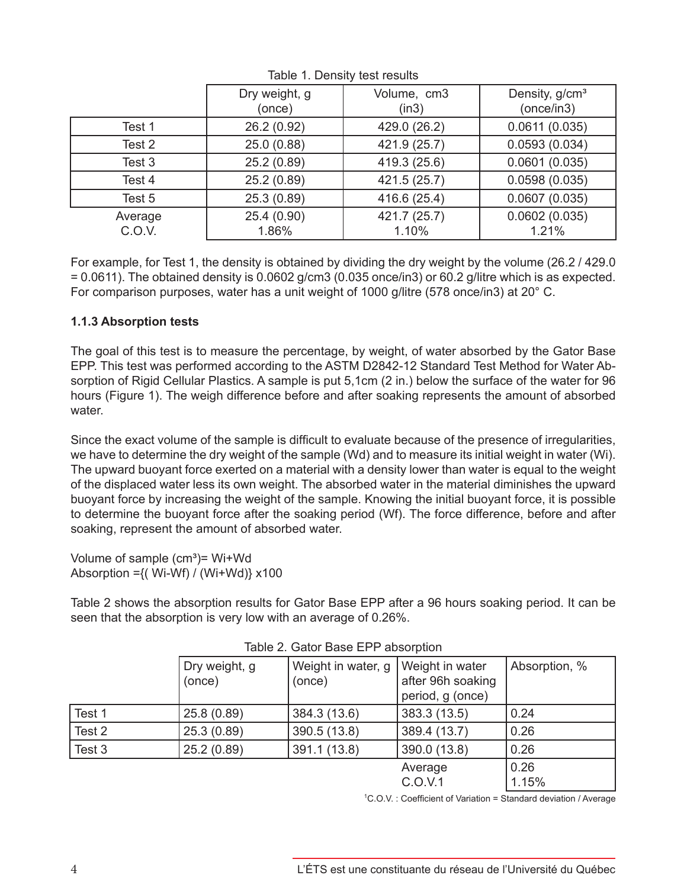|                   | Dry weight, g<br>(once) | Volume, cm3<br>(in3)  | Density, g/cm <sup>3</sup><br>(once/in3) |
|-------------------|-------------------------|-----------------------|------------------------------------------|
| Test 1            | 26.2 (0.92)             | 429.0 (26.2)          | 0.0611(0.035)                            |
| Test 2            | 25.0 (0.88)             | 421.9 (25.7)          | 0.0593(0.034)                            |
| Test 3            | 25.2(0.89)              | 419.3 (25.6)          | 0.0601(0.035)                            |
| Test 4            | 25.2 (0.89)             | 421.5 (25.7)          | 0.0598(0.035)                            |
| Test 5            | 25.3 (0.89)             | 416.6 (25.4)          | 0.0607(0.035)                            |
| Average<br>C.O.V. | 25.4 (0.90)<br>1.86%    | 421.7 (25.7)<br>1.10% | 0.0602(0.035)<br>1.21%                   |

Table 1. Density test results

For example, for Test 1, the density is obtained by dividing the dry weight by the volume (26.2 / 429.0  $= 0.0611$ ). The obtained density is 0.0602 g/cm3 (0.035 once/in3) or 60.2 g/litre which is as expected. For comparison purposes, water has a unit weight of 1000 g/litre (578 once/in3) at 20° C.

# **1.1.3 Absorption tests**

The goal of this test is to measure the percentage, by weight, of water absorbed by the Gator Base EPP. This test was performed according to the ASTM D2842-12 Standard Test Method for Water Absorption of Rigid Cellular Plastics. A sample is put 5,1cm (2 in.) below the surface of the water for 96 hours (Figure 1). The weigh difference before and after soaking represents the amount of absorbed water

Since the exact volume of the sample is difficult to evaluate because of the presence of irregularities, we have to determine the dry weight of the sample (Wd) and to measure its initial weight in water (Wi). The upward buoyant force exerted on a material with a density lower than water is equal to the weight of the displaced water less its own weight. The absorbed water in the material diminishes the upward buoyant force by increasing the weight of the sample. Knowing the initial buoyant force, it is possible to determine the buoyant force after the soaking period (Wf). The force difference, before and after soaking, represent the amount of absorbed water.

Volume of sample  $(cm<sup>3</sup>)$ = Wi+Wd Absorption ={( Wi-Wf) / (Wi+Wd)} x100

Table 2 shows the absorption results for Gator Base EPP after a 96 hours soaking period. It can be seen that the absorption is very low with an average of 0.26%.

|        | Dry weight, g | Weight in water, g | Weight in water   | Absorption, % |  |  |
|--------|---------------|--------------------|-------------------|---------------|--|--|
|        | (once)        | (once)             | after 96h soaking |               |  |  |
|        |               |                    | period, g (once)  |               |  |  |
| Test 1 | 25.8 (0.89)   | 384.3 (13.6)       | 383.3 (13.5)      | 0.24          |  |  |
| Test 2 | 25.3 (0.89)   | 390.5 (13.8)       | 389.4 (13.7)      | 0.26          |  |  |
| Test 3 | 25.2 (0.89)   | 391.1 (13.8)       | 390.0 (13.8)      | 0.26          |  |  |
|        |               |                    | Average           | 0.26          |  |  |
|        |               |                    | C.O.V.1           | 1.15%         |  |  |

|  |  | Table 2. Gator Base EPP absorption |
|--|--|------------------------------------|
|  |  |                                    |

1 C.O.V. : Coefficient of Variation = Standard deviation / Average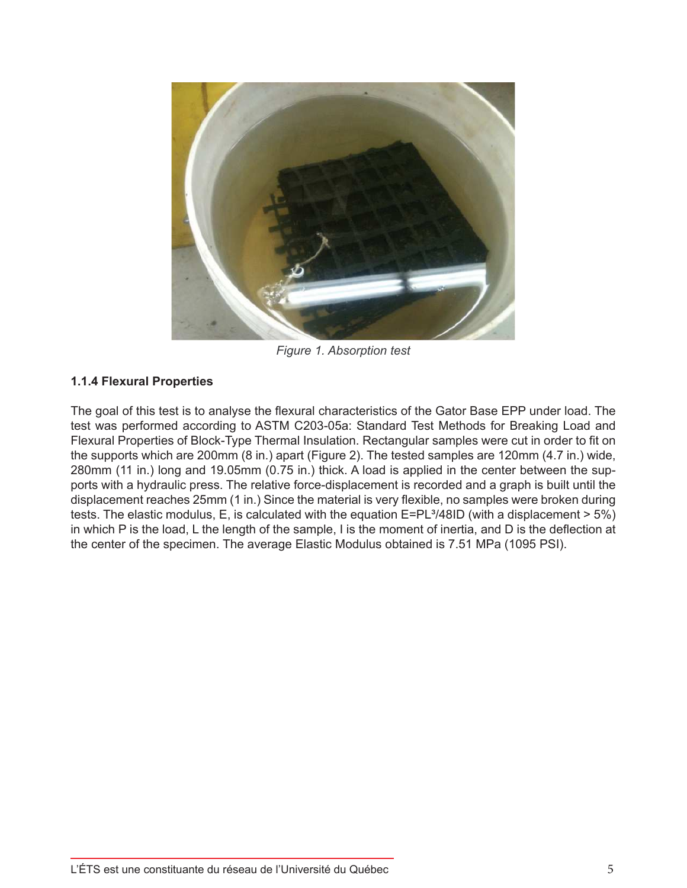

*Figure 1. Absorption test*

# **1.1.4 Flexural Properties**

The goal of this test is to analyse the flexural characteristics of the Gator Base EPP under load. The test was performed according to ASTM C203-05a: Standard Test Methods for Breaking Load and Flexural Properties of Block-Type Thermal Insulation. Rectangular samples were cut in order to fit on the supports which are 200mm (8 in.) apart (Figure 2). The tested samples are 120mm (4.7 in.) wide, 280mm (11 in.) long and 19.05mm (0.75 in.) thick. A load is applied in the center between the supports with a hydraulic press. The relative force-displacement is recorded and a graph is built until the displacement reaches 25mm (1 in.) Since the material is very flexible, no samples were broken during tests. The elastic modulus, E, is calculated with the equation  $E=PL^3/48ID$  (with a displacement  $> 5\%$ ) in which P is the load, L the length of the sample, I is the moment of inertia, and D is the deflection at the center of the specimen. The average Elastic Modulus obtained is 7.51 MPa (1095 PSI).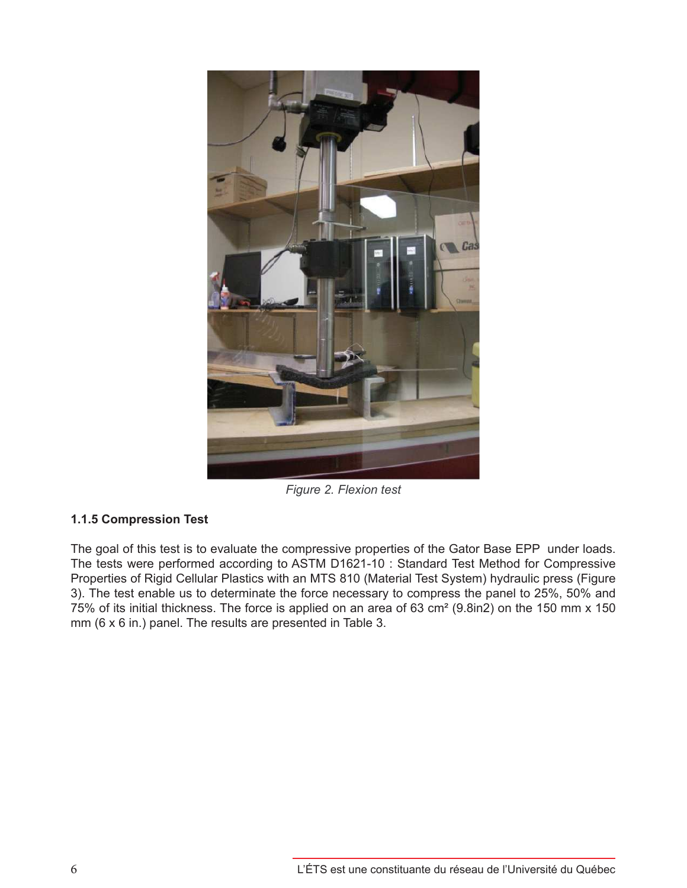

*Figure 2. Flexion test*

# **1.1.5 Compression Test**

The goal of this test is to evaluate the compressive properties of the Gator Base EPP under loads. The tests were performed according to ASTM D1621-10 : Standard Test Method for Compressive Properties of Rigid Cellular Plastics with an MTS 810 (Material Test System) hydraulic press (Figure 3). The test enable us to determinate the force necessary to compress the panel to 25%, 50% and 75% of its initial thickness. The force is applied on an area of 63 cm² (9.8in2) on the 150 mm x 150 mm (6 x 6 in.) panel. The results are presented in Table 3.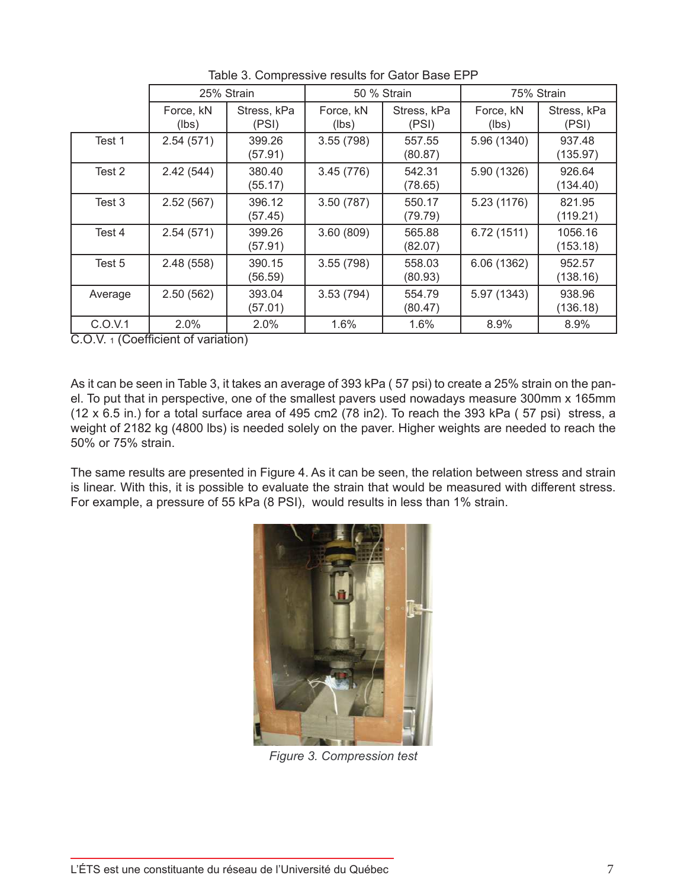|         | 25% Strain         |                      | 50 % Strain        |                      |                    | 75% Strain           |
|---------|--------------------|----------------------|--------------------|----------------------|--------------------|----------------------|
|         | Force, kN<br>(lbs) | Stress, kPa<br>(PSI) | Force, kN<br>(lbs) | Stress, kPa<br>(PSI) | Force, kN<br>(lbs) | Stress, kPa<br>(PSI) |
| Test 1  | 2.54(571)          | 399.26<br>(57.91)    | 3.55(798)          | 557.55<br>(80.87)    | 5.96 (1340)        | 937.48<br>(135.97)   |
| Test 2  | 2.42(544)          | 380.40<br>(55.17)    | 3.45(776)          | 542.31<br>(78.65)    | 5.90 (1326)        | 926.64<br>(134.40)   |
| Test 3  | 2.52(567)          | 396.12<br>(57.45)    | 3.50(787)          | 550.17<br>(79.79)    | 5.23 (1176)        | 821.95<br>(119.21)   |
| Test 4  | 2.54(571)          | 399.26<br>(57.91)    | 3.60(809)          | 565.88<br>(82.07)    | 6.72(1511)         | 1056.16<br>(153.18)  |
| Test 5  | 2.48(558)          | 390.15<br>(56.59)    | 3.55(798)          | 558.03<br>(80.93)    | 6.06(1362)         | 952.57<br>(138.16)   |
| Average | 2.50(562)          | 393.04<br>(57.01)    | 3.53(794)          | 554.79<br>(80.47)    | 5.97 (1343)        | 938.96<br>(136.18)   |
| C.O.V.1 | 2.0%<br>$\sim$     | 2.0%                 | 1.6%               | 1.6%                 | 8.9%               | 8.9%                 |

Table 3. Compressive results for Gator Base EPP

C.O.V. 1 (Coefficient of variation)

As it can be seen in Table 3, it takes an average of 393 kPa ( 57 psi) to create a 25% strain on the panel. To put that in perspective, one of the smallest pavers used nowadays measure 300mm x 165mm (12 x 6.5 in.) for a total surface area of 495 cm2 (78 in2). To reach the 393 kPa ( 57 psi) stress, a weight of 2182 kg (4800 lbs) is needed solely on the paver. Higher weights are needed to reach the 50% or 75% strain.

The same results are presented in Figure 4. As it can be seen, the relation between stress and strain is linear. With this, it is possible to evaluate the strain that would be measured with different stress. For example, a pressure of 55 kPa (8 PSI), would results in less than 1% strain.



*Figure 3. Compression test*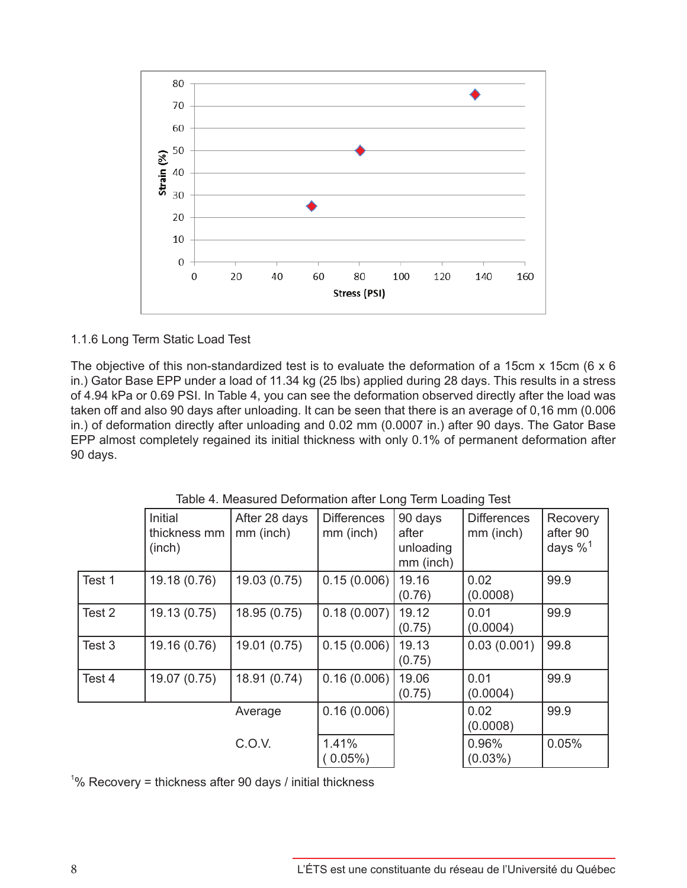

### 1.1.6 Long Term Static Load Test

The objective of this non-standardized test is to evaluate the deformation of a 15cm x 15cm (6 x 6 in.) Gator Base EPP under a load of 11.34 kg (25 lbs) applied during 28 days. This results in a stress of 4.94 kPa or 0.69 PSI. In Table 4, you can see the deformation observed directly after the load was taken off and also 90 days after unloading. It can be seen that there is an average of 0,16 mm (0.006 in.) of deformation directly after unloading and 0.02 mm (0.0007 in.) after 90 days. The Gator Base EPP almost completely regained its initial thickness with only 0.1% of permanent deformation after 90 days.

|        | Initial<br>thickness mm<br>(inch) | After 28 days<br>mm (inch) | <b>Differences</b><br>mm (inch) | 90 days<br>after<br>unloading<br>mm (inch) | <b>Differences</b><br>mm (inch) | Recovery<br>after 90<br>days $\%$ <sup>1</sup> |
|--------|-----------------------------------|----------------------------|---------------------------------|--------------------------------------------|---------------------------------|------------------------------------------------|
| Test 1 | 19.18 (0.76)                      | 19.03 (0.75)               | 0.15(0.006)                     | 19.16<br>(0.76)                            | 0.02<br>(0.0008)                | 99.9                                           |
| Test 2 | 19.13 (0.75)                      | 18.95 (0.75)               | 0.18(0.007)                     | 19.12<br>(0.75)                            | 0.01<br>(0.0004)                | 99.9                                           |
| Test 3 | 19.16 (0.76)                      | 19.01 (0.75)               | 0.15(0.006)                     | 19.13<br>(0.75)                            | 0.03(0.001)                     | 99.8                                           |
| Test 4 | 19.07 (0.75)                      | 18.91 (0.74)               | 0.16(0.006)                     | 19.06<br>(0.75)                            | 0.01<br>(0.0004)                | 99.9                                           |
|        |                                   | Average                    | 0.16(0.006)                     |                                            | 0.02<br>(0.0008)                | 99.9                                           |
|        |                                   | C.O.V.                     | 1.41%<br>$0.05\%$ )             |                                            | 0.96%<br>$(0.03\%)$             | 0.05%                                          |

Table 4. Measured Deformation after Long Term Loading Test

 $1\%$  Recovery = thickness after 90 days / initial thickness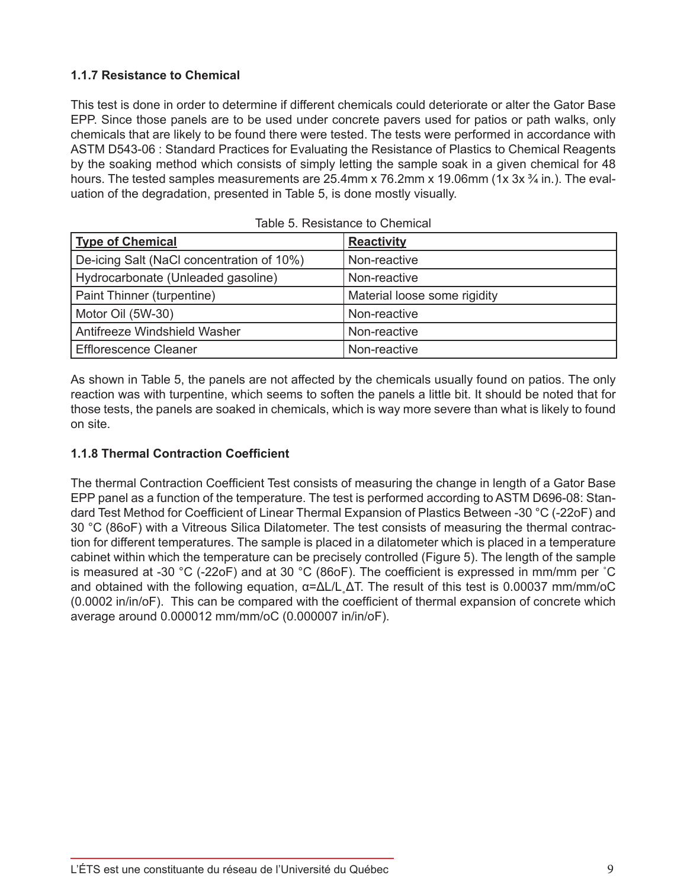# **1.1.7 Resistance to Chemical**

This test is done in order to determine if different chemicals could deteriorate or alter the Gator Base EPP. Since those panels are to be used under concrete pavers used for patios or path walks, only chemicals that are likely to be found there were tested. The tests were performed in accordance with ASTM D543-06 : Standard Practices for Evaluating the Resistance of Plastics to Chemical Reagents by the soaking method which consists of simply letting the sample soak in a given chemical for 48 hours. The tested samples measurements are 25.4mm x 76.2mm x 19.06mm (1x 3x  $\frac{3}{4}$  in.). The evaluation of the degradation, presented in Table 5, is done mostly visually.

| <b>Type of Chemical</b>                   | <b>Reactivity</b>            |
|-------------------------------------------|------------------------------|
| De-icing Salt (NaCl concentration of 10%) | Non-reactive                 |
| Hydrocarbonate (Unleaded gasoline)        | Non-reactive                 |
| Paint Thinner (turpentine)                | Material loose some rigidity |
| Motor Oil (5W-30)                         | Non-reactive                 |
| Antifreeze Windshield Washer              | Non-reactive                 |
| <b>Efflorescence Cleaner</b>              | Non-reactive                 |

| Table 5. Resistance to Chemical |  |
|---------------------------------|--|
|---------------------------------|--|

As shown in Table 5, the panels are not affected by the chemicals usually found on patios. The only reaction was with turpentine, which seems to soften the panels a little bit. It should be noted that for those tests, the panels are soaked in chemicals, which is way more severe than what is likely to found on site.

# **1.1.8 Thermal Contraction Coefficient**

The thermal Contraction Coefficient Test consists of measuring the change in length of a Gator Base EPP panel as a function of the temperature. The test is performed according to ASTM D696-08: Standard Test Method for Coefficient of Linear Thermal Expansion of Plastics Between -30 °C (-22oF) and 30 °C (86oF) with a Vitreous Silica Dilatometer. The test consists of measuring the thermal contraction for different temperatures. The sample is placed in a dilatometer which is placed in a temperature cabinet within which the temperature can be precisely controlled (Figure 5). The length of the sample is measured at -30 °C (-22oF) and at 30 °C (86oF). The coefficient is expressed in mm/mm per ˚C and obtained with the following equation,  $\alpha = \Delta L/L \Delta T$ . The result of this test is 0.00037 mm/mm/oC (0.0002 in/in/oF). This can be compared with the coefficient of thermal expansion of concrete which average around 0.000012 mm/mm/oC (0.000007 in/in/oF).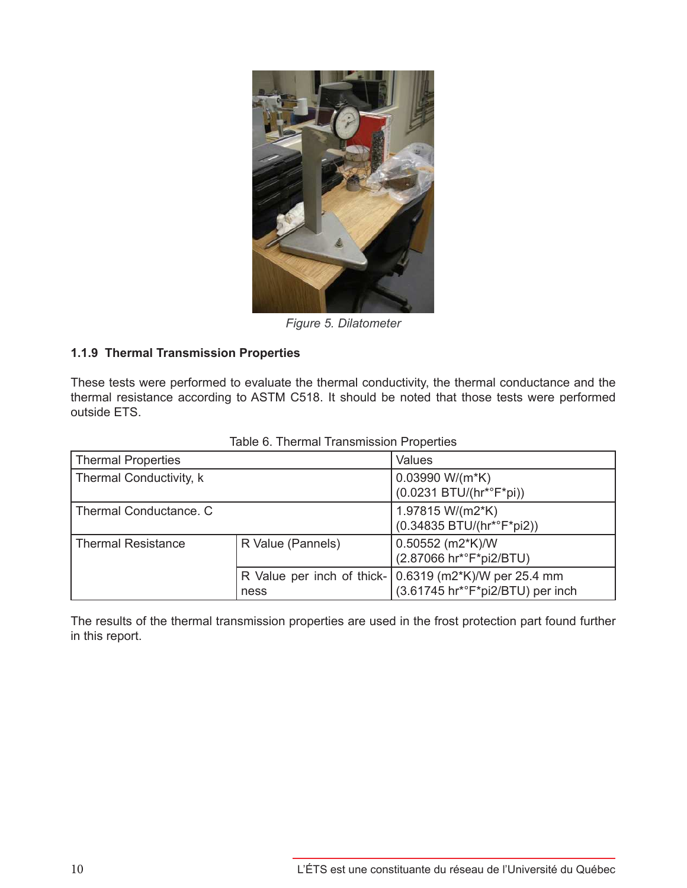

*Figure 5. Dilatometer*

### **1.1.9 Thermal Transmission Properties**

These tests were performed to evaluate the thermal conductivity, the thermal conductance and the thermal resistance according to ASTM C518. It should be noted that those tests were performed outside ETS.

| <b>Thermal Properties</b> |                   | Values                                                                                                                  |
|---------------------------|-------------------|-------------------------------------------------------------------------------------------------------------------------|
| Thermal Conductivity, k   |                   | 0.03990 W/(m*K)<br>$(0.0231 BTU/(hr^*{}^cF^*pi))$                                                                       |
| Thermal Conductance, C    |                   | 1.97815 W/(m2*K)<br>(0.34835 BTU/(hr*°F*pi2))                                                                           |
| <b>Thermal Resistance</b> | R Value (Pannels) | 0.50552 (m2*K)/W<br>(2.87066 hr*°F*pi2/BTU)                                                                             |
|                           | ness              | R Value per inch of thick- $(0.6319 \text{ (m2*K)}/W \text{ per } 25.4 \text{ mm})$<br>(3.61745 hr*°F*pi2/BTU) per inch |

Table 6. Thermal Transmission Properties

The results of the thermal transmission properties are used in the frost protection part found further in this report.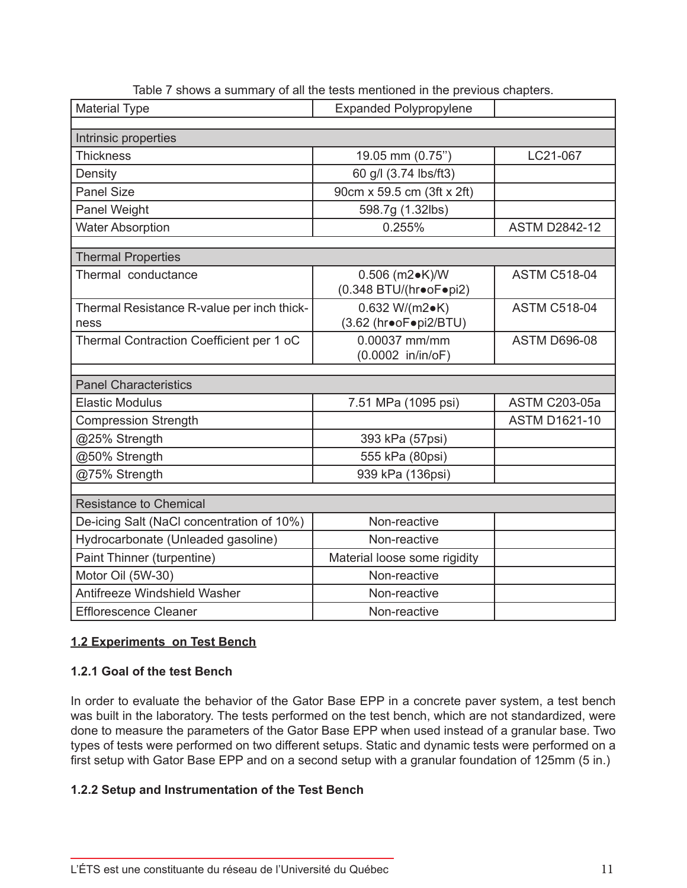| <b>Material Type</b>                               | <b>Expanded Polypropylene</b>                      |                      |
|----------------------------------------------------|----------------------------------------------------|----------------------|
|                                                    |                                                    |                      |
| Intrinsic properties<br><b>Thickness</b>           |                                                    | LC21-067             |
|                                                    | 19.05 mm (0.75")                                   |                      |
| Density                                            | 60 g/l (3.74 lbs/ft3)                              |                      |
| <b>Panel Size</b>                                  | 90cm x 59.5 cm (3ft x 2ft)                         |                      |
| Panel Weight                                       | 598.7g (1.32lbs)                                   |                      |
| <b>Water Absorption</b>                            | 0.255%                                             | <b>ASTM D2842-12</b> |
| <b>Thermal Properties</b>                          |                                                    |                      |
| Thermal conductance                                | 0.506 (m2 $\bullet$ K)/W<br>(0.348 BTU/(hr•oF•pi2) | <b>ASTM C518-04</b>  |
| Thermal Resistance R-value per inch thick-<br>ness | 0.632 W/(m2 $\bullet$ K)<br>(3.62 (hr•oF•pi2/BTU)  | <b>ASTM C518-04</b>  |
| Thermal Contraction Coefficient per 1 oC           | 0.00037 mm/mm<br>(0.0002 in/in/oF)                 | <b>ASTM D696-08</b>  |
| <b>Panel Characteristics</b>                       |                                                    |                      |
|                                                    |                                                    |                      |
| <b>Elastic Modulus</b>                             | 7.51 MPa (1095 psi)                                | <b>ASTM C203-05a</b> |
| <b>Compression Strength</b>                        |                                                    | <b>ASTM D1621-10</b> |
| @25% Strength                                      | 393 kPa (57psi)                                    |                      |
| @50% Strength                                      | 555 kPa (80psi)                                    |                      |
| @75% Strength                                      | 939 kPa (136psi)                                   |                      |
| <b>Resistance to Chemical</b>                      |                                                    |                      |
| De-icing Salt (NaCl concentration of 10%)          | Non-reactive                                       |                      |
| Hydrocarbonate (Unleaded gasoline)                 | Non-reactive                                       |                      |
| Paint Thinner (turpentine)                         | Material loose some rigidity                       |                      |
| Motor Oil (5W-30)                                  | Non-reactive                                       |                      |
| Antifreeze Windshield Washer                       | Non-reactive                                       |                      |
| <b>Efflorescence Cleaner</b>                       | Non-reactive                                       |                      |

Table 7 shows a summary of all the tests mentioned in the previous chapters.

# **1.2 Experiments on Test Bench**

# **1.2.1 Goal of the test Bench**

In order to evaluate the behavior of the Gator Base EPP in a concrete paver system, a test bench was built in the laboratory. The tests performed on the test bench, which are not standardized, were done to measure the parameters of the Gator Base EPP when used instead of a granular base. Two types of tests were performed on two different setups. Static and dynamic tests were performed on a first setup with Gator Base EPP and on a second setup with a granular foundation of 125mm (5 in.)

# **1.2.2 Setup and Instrumentation of the Test Bench**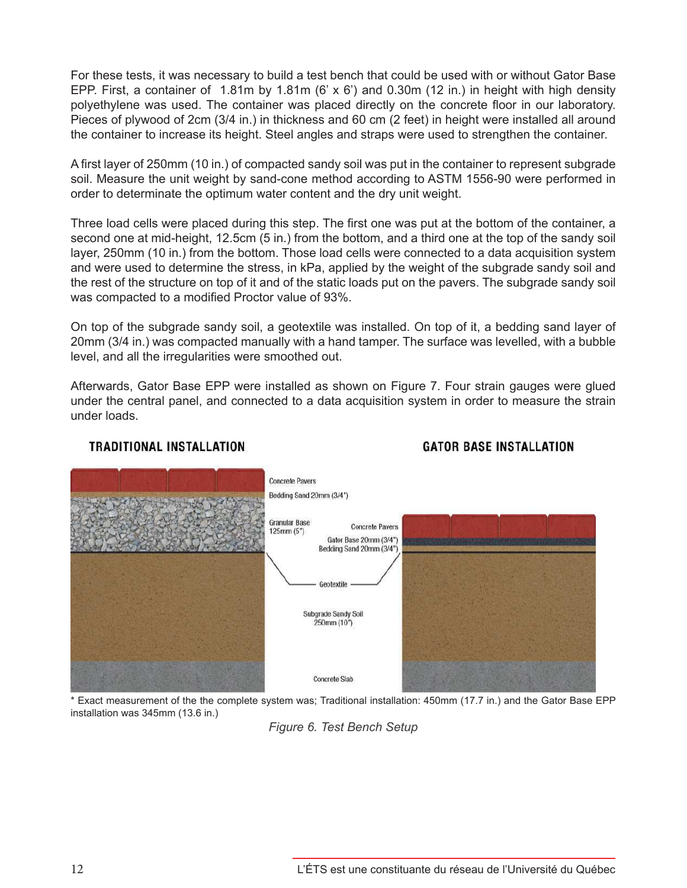For these tests, it was necessary to build a test bench that could be used with or without Gator Base EPP. First, a container of 1.81m by 1.81m (6'  $\times$  6') and 0.30m (12 in.) in height with high density polyethylene was used. The container was placed directly on the concrete floor in our laboratory. Pieces of plywood of 2cm (3/4 in.) in thickness and 60 cm (2 feet) in height were installed all around the container to increase its height. Steel angles and straps were used to strengthen the container.

A first layer of 250mm (10 in.) of compacted sandy soil was put in the container to represent subgrade soil. Measure the unit weight by sand-cone method according to ASTM 1556-90 were performed in order to determinate the optimum water content and the dry unit weight.

Three load cells were placed during this step. The first one was put at the bottom of the container, a second one at mid-height, 12.5cm (5 in.) from the bottom, and a third one at the top of the sandy soil layer, 250mm (10 in.) from the bottom. Those load cells were connected to a data acquisition system and were used to determine the stress, in kPa, applied by the weight of the subgrade sandy soil and the rest of the structure on top of it and of the static loads put on the pavers. The subgrade sandy soil was compacted to a modified Proctor value of 93%.

On top of the subgrade sandy soil, a geotextile was installed. On top of it, a bedding sand layer of 20mm (3/4 in.) was compacted manually with a hand tamper. The surface was levelled, with a bubble level, and all the irregularities were smoothed out.

Afterwards, Gator Base EPP were installed as shown on Figure 7. Four strain gauges were glued under the central panel, and connected to a data acquisition system in order to measure the strain under loads.



# **GATOR BASE INSTALLATION**

\* Exact measurement of the the complete system was; Traditional installation: 450mm (17.7 in.) and the Gator Base EPP installation was 345mm (13.6 in.)

*Figure 6. Test Bench Setup*

**TRADITIONAL INSTALLATION**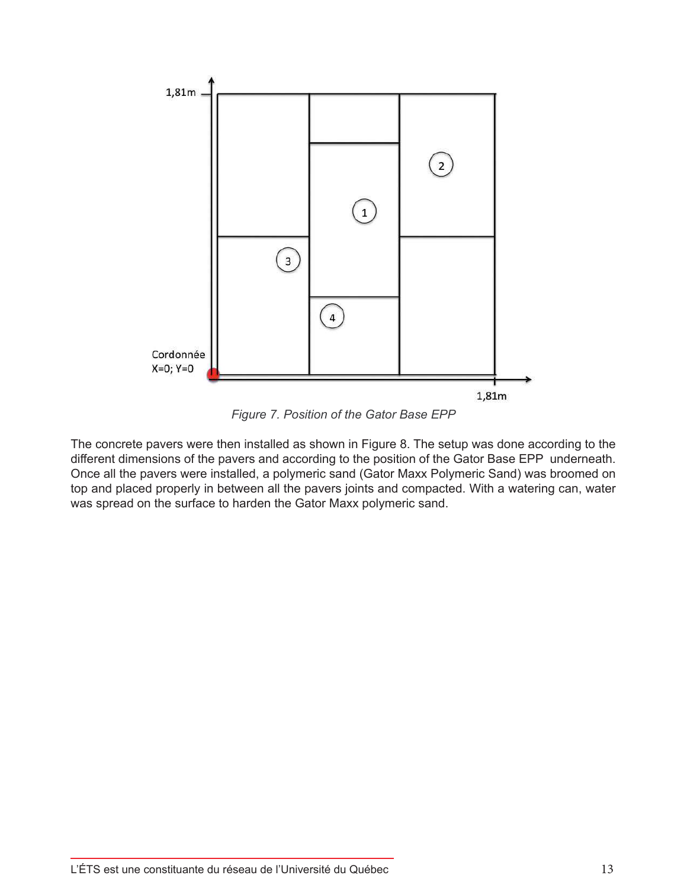

*Figure 7. Position of the Gator Base EPP*

The concrete pavers were then installed as shown in Figure 8. The setup was done according to the different dimensions of the pavers and according to the position of the Gator Base EPP underneath. Once all the pavers were installed, a polymeric sand (Gator Maxx Polymeric Sand) was broomed on top and placed properly in between all the pavers joints and compacted. With a watering can, water was spread on the surface to harden the Gator Maxx polymeric sand.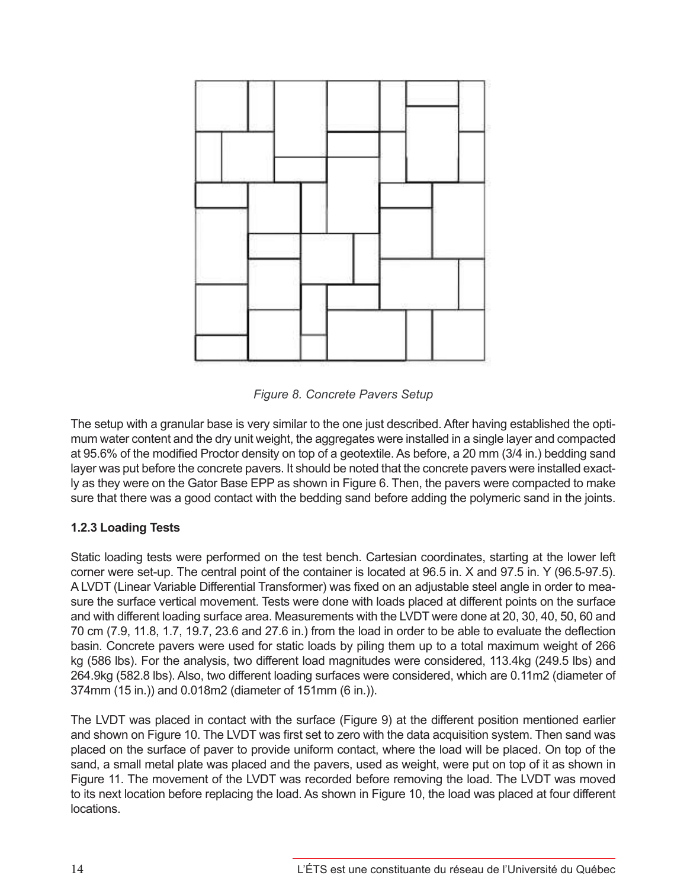![](_page_13_Figure_0.jpeg)

*Figure 8. Concrete Pavers Setup*

The setup with a granular base is very similar to the one just described. After having established the optimum water content and the dry unit weight, the aggregates were installed in a single layer and compacted at 95.6% of the modified Proctor density on top of a geotextile. As before, a 20 mm (3/4 in.) bedding sand layer was put before the concrete pavers. It should be noted that the concrete pavers were installed exactly as they were on the Gator Base EPP as shown in Figure 6. Then, the pavers were compacted to make sure that there was a good contact with the bedding sand before adding the polymeric sand in the joints.

# **1.2.3 Loading Tests**

Static loading tests were performed on the test bench. Cartesian coordinates, starting at the lower left corner were set-up. The central point of the container is located at 96.5 in. X and 97.5 in. Y (96.5-97.5). A LVDT (Linear Variable Differential Transformer) was fixed on an adjustable steel angle in order to measure the surface vertical movement. Tests were done with loads placed at different points on the surface and with different loading surface area. Measurements with the LVDT were done at 20, 30, 40, 50, 60 and 70 cm (7.9, 11.8, 1.7, 19.7, 23.6 and 27.6 in.) from the load in order to be able to evaluate the deflection basin. Concrete pavers were used for static loads by piling them up to a total maximum weight of 266 kg (586 lbs). For the analysis, two different load magnitudes were considered, 113.4kg (249.5 lbs) and 264.9kg (582.8 lbs). Also, two different loading surfaces were considered, which are 0.11m2 (diameter of 374mm (15 in.)) and 0.018m2 (diameter of 151mm (6 in.)).

The LVDT was placed in contact with the surface (Figure 9) at the different position mentioned earlier and shown on Figure 10. The LVDT was first set to zero with the data acquisition system. Then sand was placed on the surface of paver to provide uniform contact, where the load will be placed. On top of the sand, a small metal plate was placed and the pavers, used as weight, were put on top of it as shown in Figure 11. The movement of the LVDT was recorded before removing the load. The LVDT was moved to its next location before replacing the load. As shown in Figure 10, the load was placed at four different locations.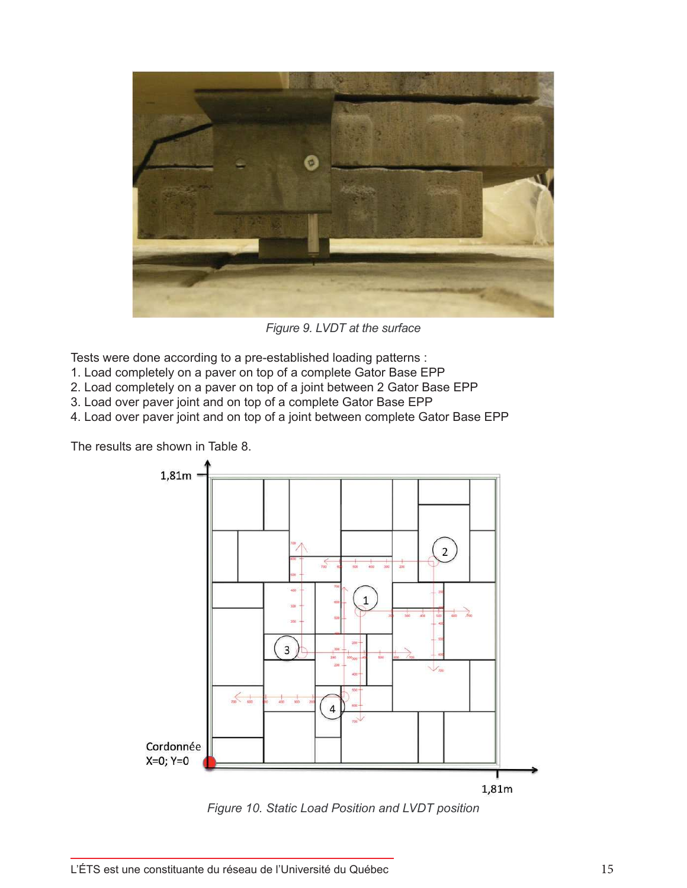![](_page_14_Picture_0.jpeg)

*Figure 9. LVDT at the surface*

Tests were done according to a pre-established loading patterns :

- 1. Load completely on a paver on top of a complete Gator Base EPP
- 2. Load completely on a paver on top of a joint between 2 Gator Base EPP
- 3. Load over paver joint and on top of a complete Gator Base EPP

4. Load over paver joint and on top of a joint between complete Gator Base EPP

The results are shown in Table 8.

![](_page_14_Figure_8.jpeg)

*Figure 10. Static Load Position and LVDT position*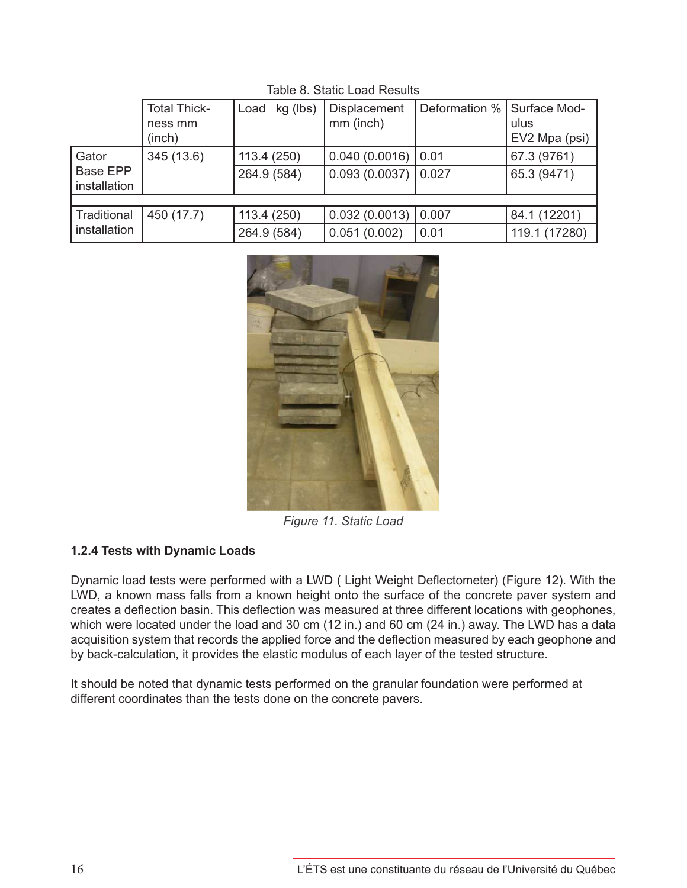|                          | <b>Total Thick-</b><br>ness mm<br>(inch) | kg (lbs)<br>Load | Displacement<br>mm (inch) | Deformation %   Surface Mod- | ulus<br>EV2 Mpa (psi) |
|--------------------------|------------------------------------------|------------------|---------------------------|------------------------------|-----------------------|
| Gator                    | 345 (13.6)                               | 113.4 (250)      | $0.040(0.0016)$ 0.01      |                              | 67.3 (9761)           |
| Base EPP<br>installation |                                          | 264.9 (584)      | $0.093(0.0037)$ 0.027     |                              | 65.3 (9471)           |
|                          |                                          |                  |                           |                              |                       |
| Traditional              | 450 (17.7)                               | 113.4 (250)      | $0.032(0.0013)$ 0.007     |                              | 84.1 (12201)          |
| installation             |                                          | 264.9 (584)      | 0.051(0.002)              | 0.01                         | 119.1 (17280)         |

Table 8. Static Load Results

![](_page_15_Picture_2.jpeg)

*Figure 11. Static Load*

# **1.2.4 Tests with Dynamic Loads**

Dynamic load tests were performed with a LWD ( Light Weight Deflectometer) (Figure 12). With the LWD, a known mass falls from a known height onto the surface of the concrete paver system and creates a deflection basin. This deflection was measured at three different locations with geophones, which were located under the load and 30 cm (12 in.) and 60 cm (24 in.) away. The LWD has a data acquisition system that records the applied force and the deflection measured by each geophone and by back-calculation, it provides the elastic modulus of each layer of the tested structure.

It should be noted that dynamic tests performed on the granular foundation were performed at different coordinates than the tests done on the concrete pavers.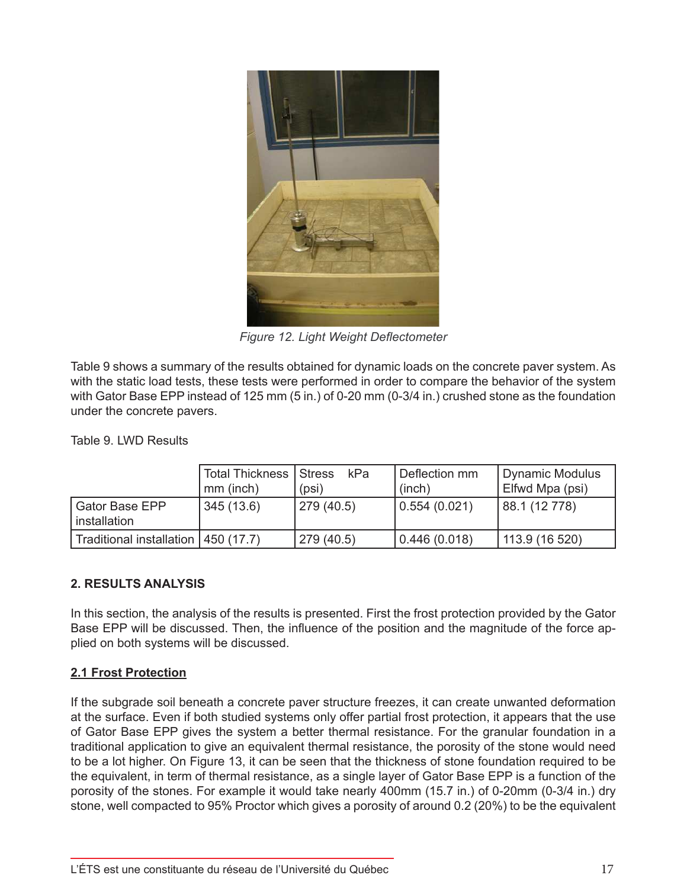![](_page_16_Picture_0.jpeg)

*Figure 12. Light Weight Deflectometer*

Table 9 shows a summary of the results obtained for dynamic loads on the concrete paver system. As with the static load tests, these tests were performed in order to compare the behavior of the system with Gator Base EPP instead of 125 mm (5 in.) of 0-20 mm (0-3/4 in.) crushed stone as the foundation under the concrete pavers.

Table 9. LWD Results

|                                       | <b>Total Thickness   Stress</b><br>mm (inch) | kPa<br>(psi) | Deflection mm<br>(inch) | <b>Dynamic Modulus</b><br>Elfwd Mpa (psi) |
|---------------------------------------|----------------------------------------------|--------------|-------------------------|-------------------------------------------|
| Gator Base EPP<br>installation        | 345(13.6)                                    | 279 (40.5)   | 0.554(0.021)            | 88.1 (12 778)                             |
| Traditional installation   450 (17.7) |                                              | 279 (40.5)   | 0.446(0.018)            | 113.9 (16 520)                            |

# **2. RESULTS ANALYSIS**

In this section, the analysis of the results is presented. First the frost protection provided by the Gator Base EPP will be discussed. Then, the influence of the position and the magnitude of the force applied on both systems will be discussed.

#### **2.1 Frost Protection**

If the subgrade soil beneath a concrete paver structure freezes, it can create unwanted deformation at the surface. Even if both studied systems only offer partial frost protection, it appears that the use of Gator Base EPP gives the system a better thermal resistance. For the granular foundation in a traditional application to give an equivalent thermal resistance, the porosity of the stone would need to be a lot higher. On Figure 13, it can be seen that the thickness of stone foundation required to be the equivalent, in term of thermal resistance, as a single layer of Gator Base EPP is a function of the porosity of the stones. For example it would take nearly 400mm (15.7 in.) of 0-20mm (0-3/4 in.) dry stone, well compacted to 95% Proctor which gives a porosity of around 0.2 (20%) to be the equivalent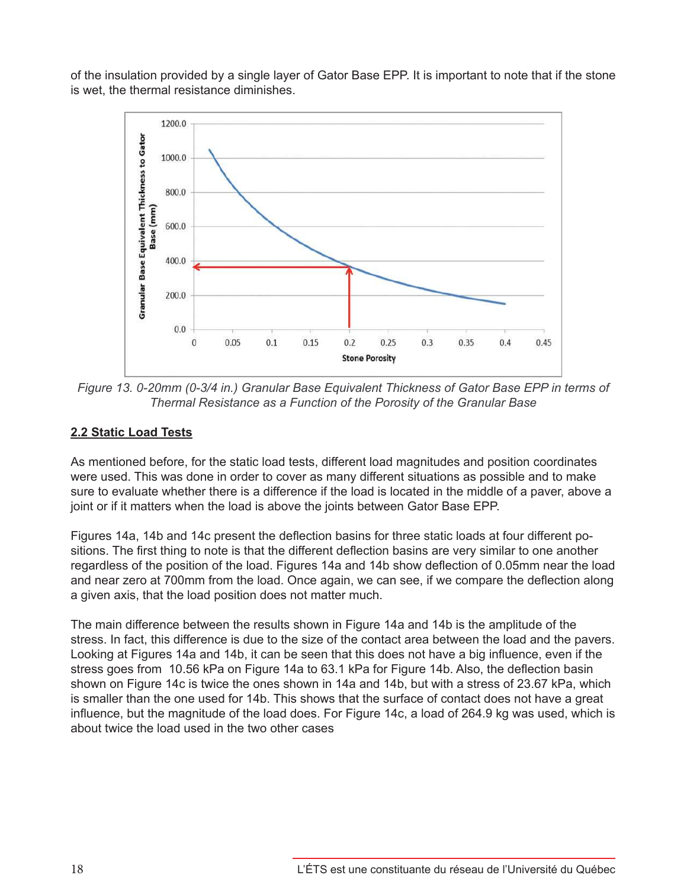of the insulation provided by a single layer of Gator Base EPP. It is important to note that if the stone is wet, the thermal resistance diminishes.

![](_page_17_Figure_1.jpeg)

*Figure 13. 0-20mm (0-3/4 in.) Granular Base Equivalent Thickness of Gator Base EPP in terms of Thermal Resistance as a Function of the Porosity of the Granular Base*

# **2.2 Static Load Tests**

As mentioned before, for the static load tests, different load magnitudes and position coordinates were used. This was done in order to cover as many different situations as possible and to make sure to evaluate whether there is a difference if the load is located in the middle of a paver, above a joint or if it matters when the load is above the joints between Gator Base EPP.

Figures 14a, 14b and 14c present the deflection basins for three static loads at four different positions. The first thing to note is that the different deflection basins are very similar to one another regardless of the position of the load. Figures 14a and 14b show deflection of 0.05mm near the load and near zero at 700mm from the load. Once again, we can see, if we compare the deflection along a given axis, that the load position does not matter much.

The main difference between the results shown in Figure 14a and 14b is the amplitude of the stress. In fact, this difference is due to the size of the contact area between the load and the pavers. Looking at Figures 14a and 14b, it can be seen that this does not have a big influence, even if the stress goes from 10.56 kPa on Figure 14a to 63.1 kPa for Figure 14b. Also, the deflection basin shown on Figure 14c is twice the ones shown in 14a and 14b, but with a stress of 23.67 kPa, which is smaller than the one used for 14b. This shows that the surface of contact does not have a great influence, but the magnitude of the load does. For Figure 14c, a load of 264.9 kg was used, which is about twice the load used in the two other cases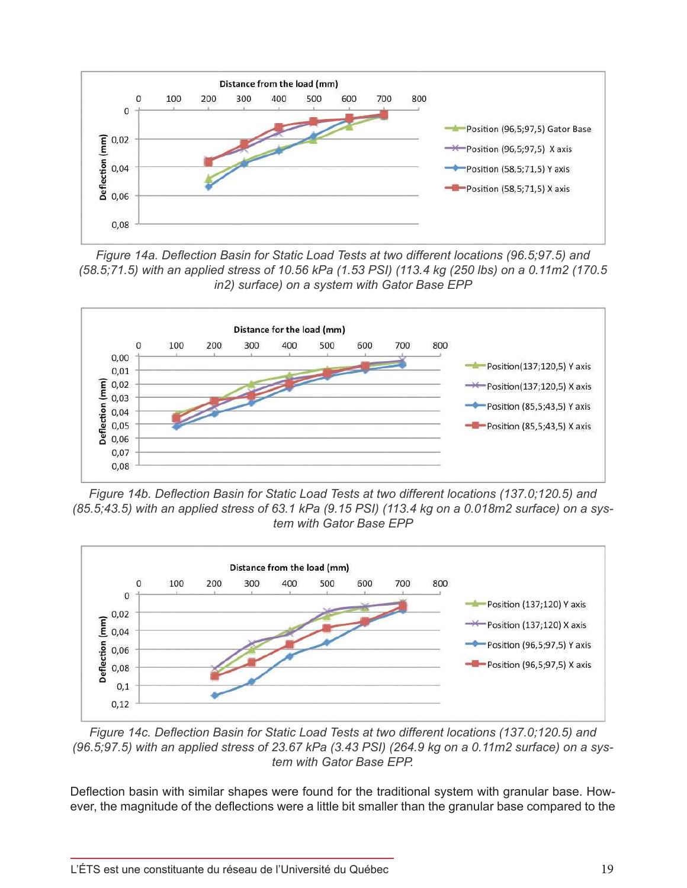![](_page_18_Figure_0.jpeg)

*Figure 14a. Deflection Basin for Static Load Tests at two different locations (96.5;97.5) and (58.5;71.5) with an applied stress of 10.56 kPa (1.53 PSI) (113.4 kg (250 lbs) on a 0.11m2 (170.5 in2) surface) on a system with Gator Base EPP*

![](_page_18_Figure_2.jpeg)

*Figure 14b. Deflection Basin for Static Load Tests at two different locations (137.0;120.5) and (85.5;43.5) with an applied stress of 63.1 kPa (9.15 PSI) (113.4 kg on a 0.018m2 surface) on a system with Gator Base EPP*

![](_page_18_Figure_4.jpeg)

*Figure 14c. Deflection Basin for Static Load Tests at two different locations (137.0;120.5) and (96.5;97.5) with an applied stress of 23.67 kPa (3.43 PSI) (264.9 kg on a 0.11m2 surface) on a system with Gator Base EPP.*

Deflection basin with similar shapes were found for the traditional system with granular base. However, the magnitude of the deflections were a little bit smaller than the granular base compared to the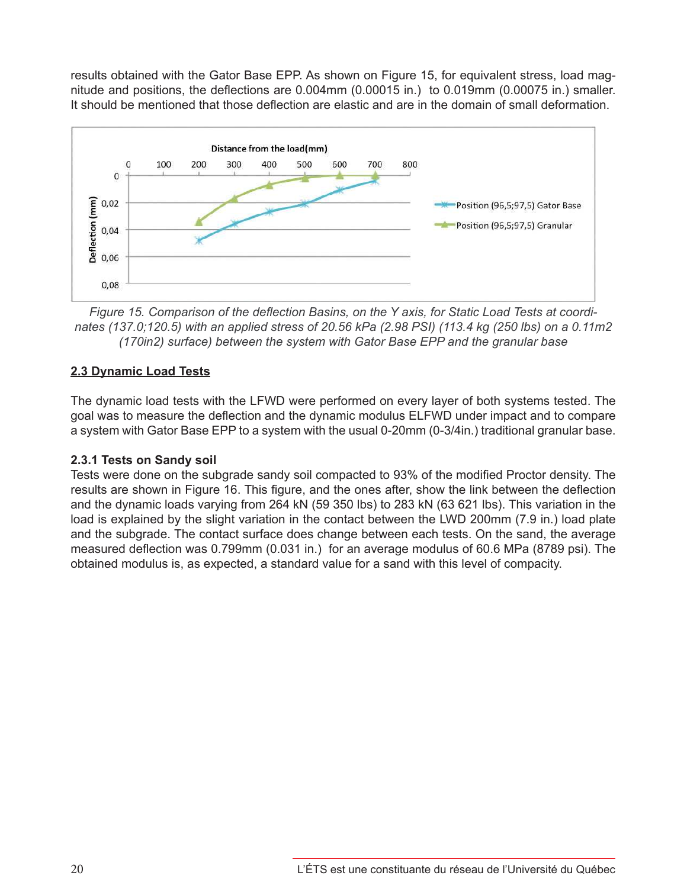results obtained with the Gator Base EPP. As shown on Figure 15, for equivalent stress, load magnitude and positions, the deflections are 0.004mm (0.00015 in.) to 0.019mm (0.00075 in.) smaller. It should be mentioned that those deflection are elastic and are in the domain of small deformation.

![](_page_19_Figure_1.jpeg)

*Figure 15. Comparison of the deflection Basins, on the Y axis, for Static Load Tests at coordinates (137.0;120.5) with an applied stress of 20.56 kPa (2.98 PSI) (113.4 kg (250 lbs) on a 0.11m2 (170in2) surface) between the system with Gator Base EPP and the granular base*

### **2.3 Dynamic Load Tests**

The dynamic load tests with the LFWD were performed on every layer of both systems tested. The goal was to measure the deflection and the dynamic modulus ELFWD under impact and to compare a system with Gator Base EPP to a system with the usual 0-20mm (0-3/4in.) traditional granular base.

# **2.3.1 Tests on Sandy soil**

Tests were done on the subgrade sandy soil compacted to 93% of the modified Proctor density. The results are shown in Figure 16. This figure, and the ones after, show the link between the deflection and the dynamic loads varying from 264 kN (59 350 lbs) to 283 kN (63 621 lbs). This variation in the load is explained by the slight variation in the contact between the LWD 200mm (7.9 in.) load plate and the subgrade. The contact surface does change between each tests. On the sand, the average measured deflection was 0.799mm (0.031 in.) for an average modulus of 60.6 MPa (8789 psi). The obtained modulus is, as expected, a standard value for a sand with this level of compacity.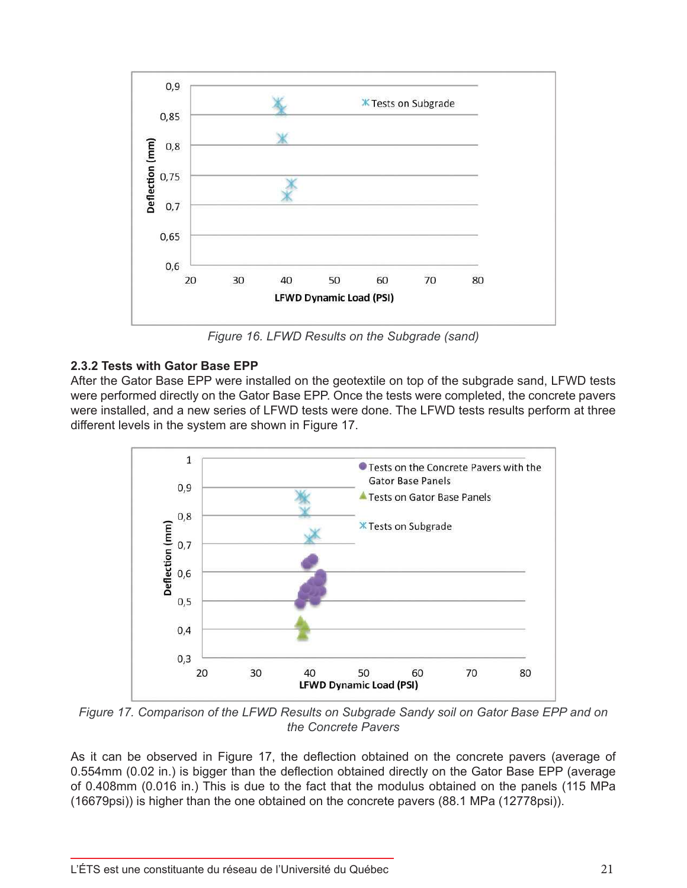![](_page_20_Figure_0.jpeg)

*Figure 16. LFWD Results on the Subgrade (sand)*

# **2.3.2 Tests with Gator Base EPP**

After the Gator Base EPP were installed on the geotextile on top of the subgrade sand, LFWD tests were performed directly on the Gator Base EPP. Once the tests were completed, the concrete pavers were installed, and a new series of LFWD tests were done. The LFWD tests results perform at three different levels in the system are shown in Figure 17.

![](_page_20_Figure_4.jpeg)

*Figure 17. Comparison of the LFWD Results on Subgrade Sandy soil on Gator Base EPP and on the Concrete Pavers*

As it can be observed in Figure 17, the deflection obtained on the concrete pavers (average of 0.554mm (0.02 in.) is bigger than the deflection obtained directly on the Gator Base EPP (average of 0.408mm (0.016 in.) This is due to the fact that the modulus obtained on the panels (115 MPa (16679psi)) is higher than the one obtained on the concrete pavers (88.1 MPa (12778psi)).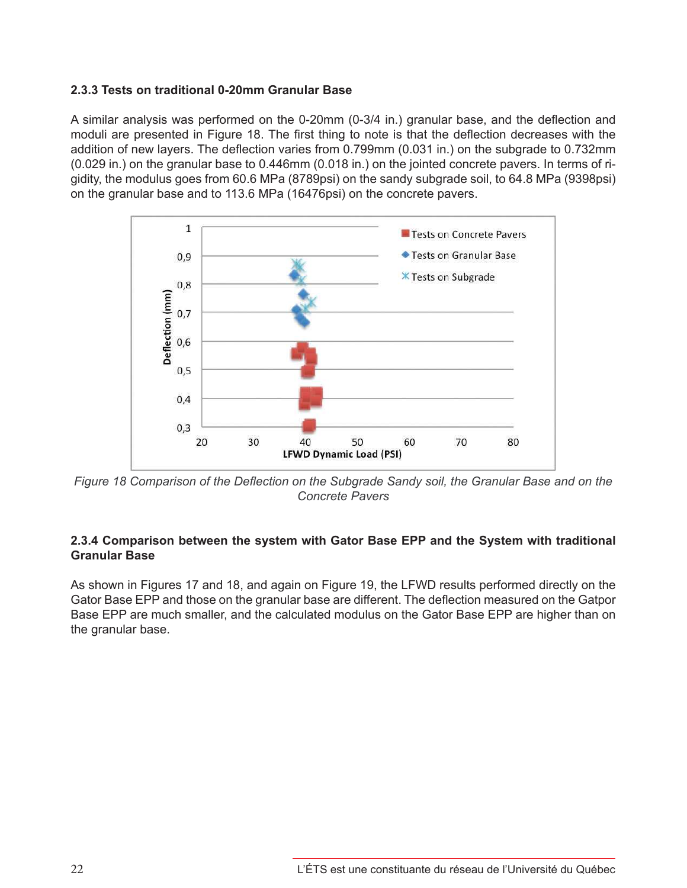### **2.3.3 Tests on traditional 0-20mm Granular Base**

A similar analysis was performed on the 0-20mm (0-3/4 in.) granular base, and the deflection and moduli are presented in Figure 18. The first thing to note is that the deflection decreases with the addition of new layers. The deflection varies from 0.799mm (0.031 in.) on the subgrade to 0.732mm (0.029 in.) on the granular base to 0.446mm (0.018 in.) on the jointed concrete pavers. In terms of rigidity, the modulus goes from 60.6 MPa (8789psi) on the sandy subgrade soil, to 64.8 MPa (9398psi) on the granular base and to 113.6 MPa (16476psi) on the concrete pavers.

![](_page_21_Figure_2.jpeg)

*Figure 18 Comparison of the Deflection on the Subgrade Sandy soil, the Granular Base and on the Concrete Pavers*

### **2.3.4 Comparison between the system with Gator Base EPP and the System with traditional Granular Base**

As shown in Figures 17 and 18, and again on Figure 19, the LFWD results performed directly on the Gator Base EPP and those on the granular base are different. The deflection measured on the Gatpor Base EPP are much smaller, and the calculated modulus on the Gator Base EPP are higher than on the granular base.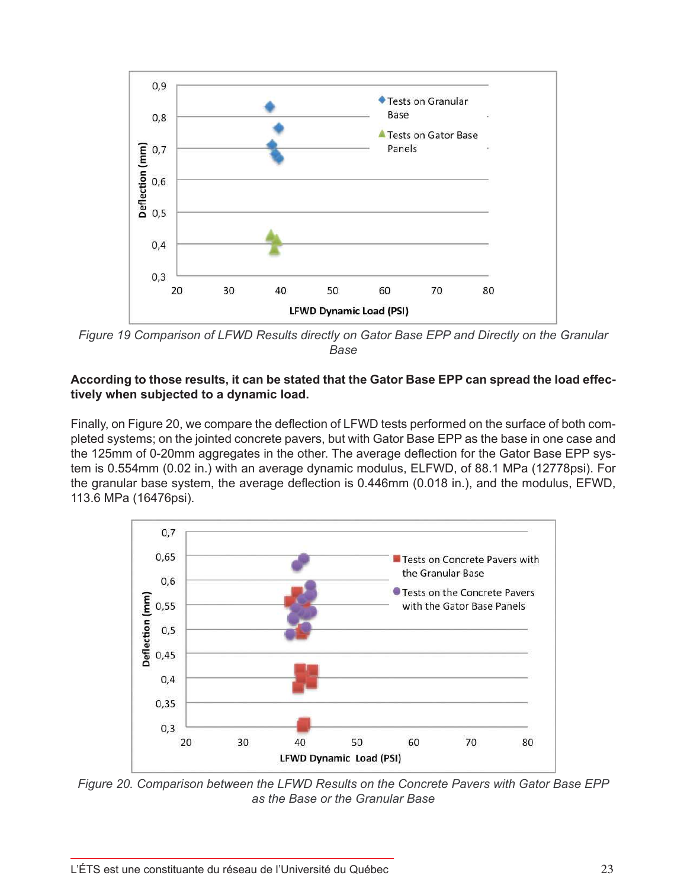![](_page_22_Figure_0.jpeg)

*Figure 19 Comparison of LFWD Results directly on Gator Base EPP and Directly on the Granular Base*

### **According to those results, it can be stated that the Gator Base EPP can spread the load effectively when subjected to a dynamic load.**

Finally, on Figure 20, we compare the deflection of LFWD tests performed on the surface of both completed systems; on the jointed concrete pavers, but with Gator Base EPP as the base in one case and the 125mm of 0-20mm aggregates in the other. The average deflection for the Gator Base EPP system is 0.554mm (0.02 in.) with an average dynamic modulus, ELFWD, of 88.1 MPa (12778psi). For the granular base system, the average deflection is 0.446mm (0.018 in.), and the modulus, EFWD, 113.6 MPa (16476psi).

![](_page_22_Figure_4.jpeg)

*Figure 20. Comparison between the LFWD Results on the Concrete Pavers with Gator Base EPP as the Base or the Granular Base*